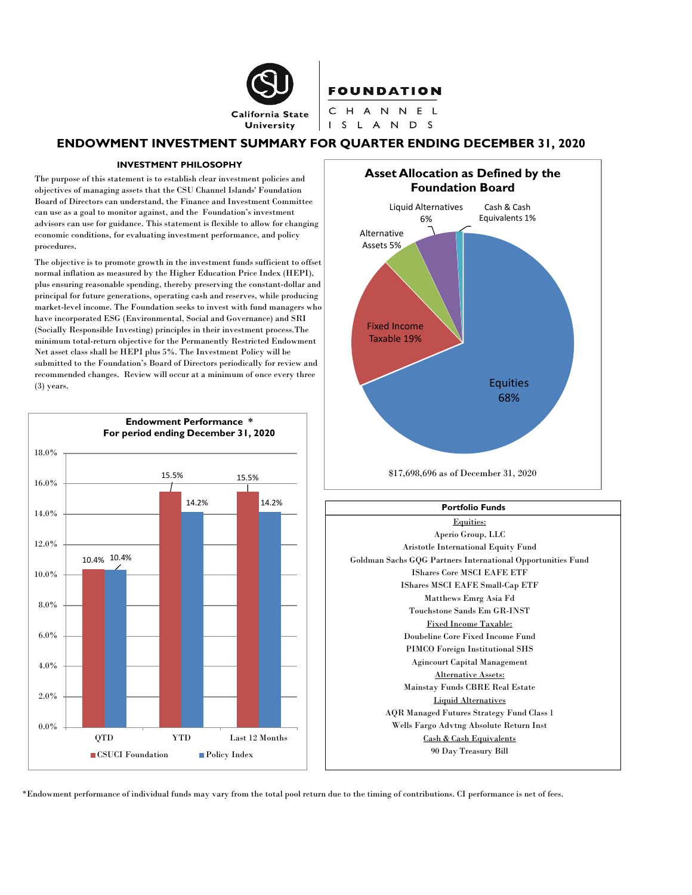

# ENDOWMENT INVESTMENT SUMMARY FOR QUARTER ENDING DECEMBER 31, 2020

### INVESTMENT PHILOSOPHY

 The purpose of this statement is to establish clear investment policies and objectives of managing assets that the CSU Channel Islands' Foundation Board of Directors can understand, the Finance and Investment Committee can use as a goal to monitor against, and the Foundation's investment advisors can use for guidance. This statement is flexible to allow for changing economic conditions, for evaluating investment performance, and policy procedures.

 The objective is to promote growth in the investment funds sufficient to offset normal inflation as measured by the Higher Education Price Index (HEPI), plus ensuring reasonable spending, thereby preserving the constant-dollar and principal for future generations, operating cash and reserves, while producing market-level income. The Foundation seeks to invest with fund managers who have incorporated ESG (Environmental, Social and Governance) and SRI (Socially Responsible Investing) principles in their investment process.The minimum total-return objective for the Permanently Restricted Endowment Net asset class shall be HEPI plus 5%. The Investment Policy will be submitted to the Foundation's Board of Directors periodically for review and recommended changes. Review will occur at a minimum of once every three (3) years.







\*Endowment performance of individual funds may vary from the total pool return due to the timing of contributions. CI performance is net of fees.